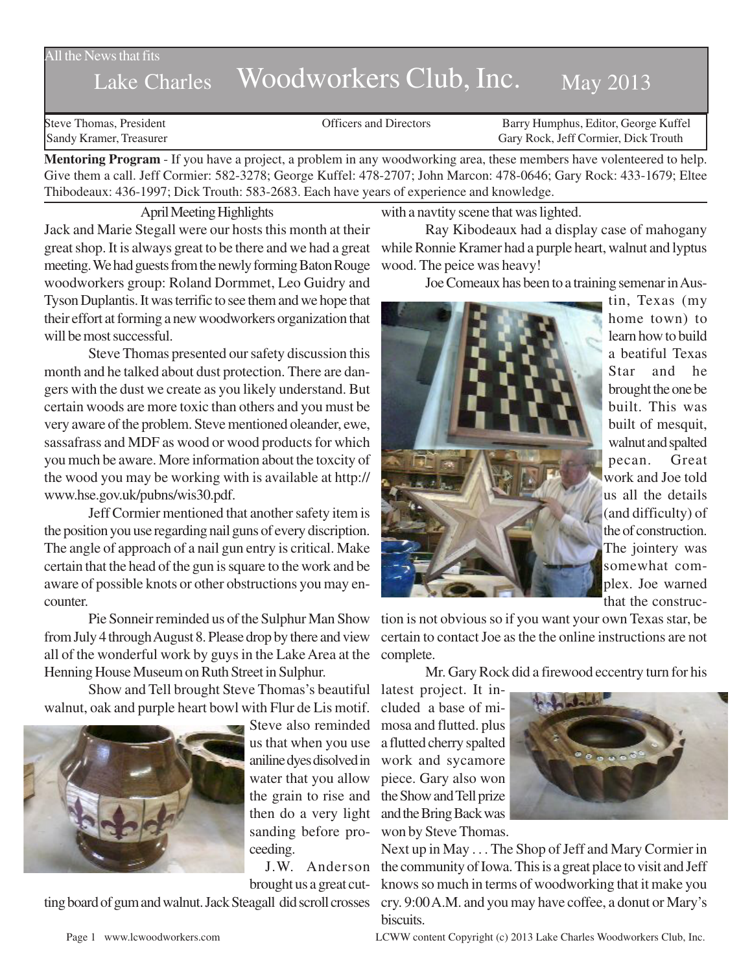## All the News that fits

## Lake Charles Woodworkers Club, Inc. May 2013

Steve Thomas, President **State Concrete Concrete Concrete Concrete Concrete Concrete Concrete Concrete Concrete Concrete Concrete Concrete Concrete Concrete Concrete Concrete Concrete Concrete Concrete Concrete Concrete Co** Sandy Kramer, Treasurer Gary Rock, Jeff Cormier, Dick Trouth

**Mentoring Program** - If you have a project, a problem in any woodworking area, these members have volenteered to help. Give them a call. Jeff Cormier: 582-3278; George Kuffel: 478-2707; John Marcon: 478-0646; Gary Rock: 433-1679; Eltee Thibodeaux: 436-1997; Dick Trouth: 583-2683. Each have years of experience and knowledge.

April Meeting Highlights

Jack and Marie Stegall were our hosts this month at their great shop. It is always great to be there and we had a great meeting. We had guests from the newly forming Baton Rouge woodworkers group: Roland Dormmet, Leo Guidry and Tyson Duplantis. It was terrific to see them and we hope that their effort at forming a new woodworkers organization that will be most successful.

Steve Thomas presented our safety discussion this month and he talked about dust protection. There are dangers with the dust we create as you likely understand. But certain woods are more toxic than others and you must be very aware of the problem. Steve mentioned oleander, ewe, sassafrass and MDF as wood or wood products for which you much be aware. More information about the toxcity of the wood you may be working with is available at http:// www.hse.gov.uk/pubns/wis30.pdf.

Jeff Cormier mentioned that another safety item is the position you use regarding nail guns of every discription. The angle of approach of a nail gun entry is critical. Make certain that the head of the gun is square to the work and be aware of possible knots or other obstructions you may encounter.

Pie Sonneir reminded us of the Sulphur Man Show from July 4 through August 8. Please drop by there and view all of the wonderful work by guys in the Lake Area at the complete. Henning House Museum on Ruth Street in Sulphur.

Show and Tell brought Steve Thomas's beautiful latest project. It inwalnut, oak and purple heart bowl with Flur de Lis motif.



Steve also reminded us that when you use aniline dyes disolved in water that you allow then do a very light sanding before proceeding.

brought us a great cut-

ting board of gum and walnut. Jack Steagall did scroll crosses cry. 9:00 A.M. and you may have coffee, a donut or Mary's

with a navtity scene that was lighted.

Ray Kibodeaux had a display case of mahogany while Ronnie Kramer had a purple heart, walnut and lyptus wood. The peice was heavy!

Joe Comeaux has been to a training semenar in Aus-



tin, Texas (my home town) to learn how to build a beatiful Texas Star and he brought the one be built. This was built of mesquit, walnut and spalted pecan. Great work and Joe told us all the details (and difficulty) of the of construction. The jointery was somewhat complex. Joe warned that the construc-

tion is not obvious so if you want your own Texas star, be certain to contact Joe as the the online instructions are not

Mr. Gary Rock did a firewood eccentry turn for his

the grain to rise and the Show and Tell prize cluded a base of mimosa and flutted. plus a flutted cherry spalted work and sycamore piece. Gary also won and the Bring Back was won by Steve Thomas.



J.W. Anderson the community of Iowa. This is a great place to visit and Jeff Next up in May . . . The Shop of Jeff and Mary Cormier in knows so much in terms of woodworking that it make you biscuits.

Page 1 www.lcwoodworkers.com LCWW content Copyright (c) 2013 Lake Charles Woodworkers Club, Inc.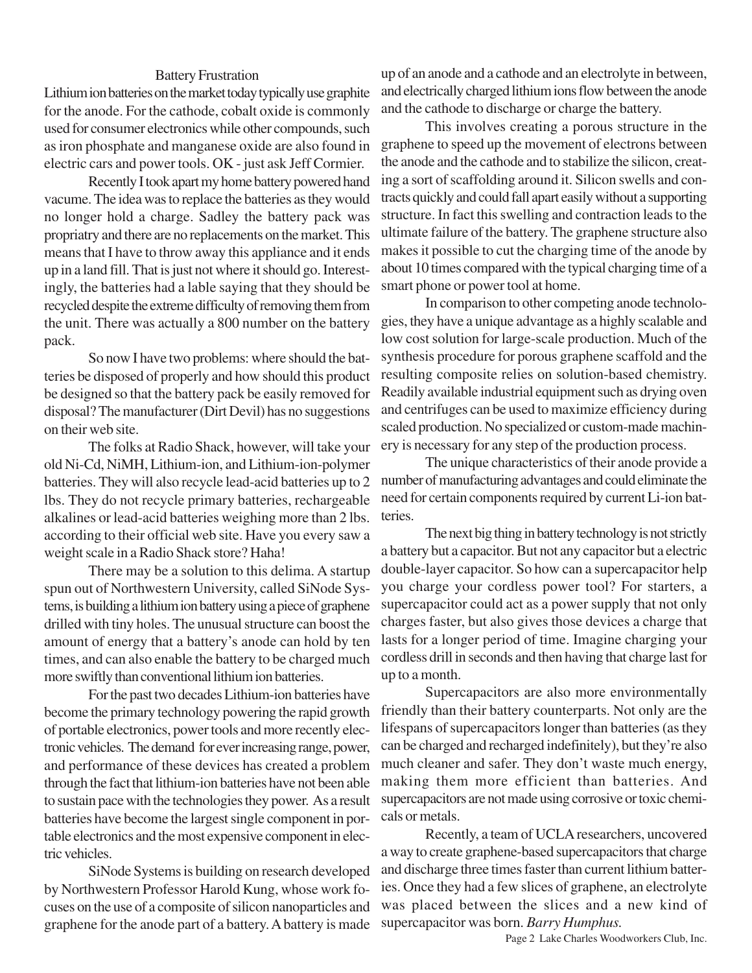## Battery Frustration

Lithium ion batteries on the market today typically use graphite for the anode. For the cathode, cobalt oxide is commonly used for consumer electronics while other compounds, such as iron phosphate and manganese oxide are also found in electric cars and power tools. OK - just ask Jeff Cormier.

Recently I took apart my home battery powered hand vacume. The idea was to replace the batteries as they would no longer hold a charge. Sadley the battery pack was propriatry and there are no replacements on the market. This means that I have to throw away this appliance and it ends up in a land fill. That is just not where it should go. Interestingly, the batteries had a lable saying that they should be recycled despite the extreme difficulty of removing them from the unit. There was actually a 800 number on the battery pack.

So now I have two problems: where should the batteries be disposed of properly and how should this product be designed so that the battery pack be easily removed for disposal? The manufacturer (Dirt Devil) has no suggestions on their web site.

The folks at Radio Shack, however, will take your old Ni-Cd, NiMH, Lithium-ion, and Lithium-ion-polymer batteries. They will also recycle lead-acid batteries up to 2 lbs. They do not recycle primary batteries, rechargeable alkalines or lead-acid batteries weighing more than 2 lbs. according to their official web site. Have you every saw a weight scale in a Radio Shack store? Haha!

There may be a solution to this delima. A startup spun out of Northwestern University, called SiNode Systems, is building a lithium ion battery using a piece of graphene drilled with tiny holes. The unusual structure can boost the amount of energy that a battery's anode can hold by ten times, and can also enable the battery to be charged much more swiftly than conventional lithium ion batteries.

For the past two decades Lithium-ion batteries have become the primary technology powering the rapid growth of portable electronics, power tools and more recently electronic vehicles. The demand for ever increasing range, power, and performance of these devices has created a problem through the fact that lithium-ion batteries have not been able to sustain pace with the technologies they power. As a result batteries have become the largest single component in portable electronics and the most expensive component in electric vehicles.

SiNode Systems is building on research developed by Northwestern Professor Harold Kung, whose work focuses on the use of a composite of silicon nanoparticles and graphene for the anode part of a battery. A battery is made up of an anode and a cathode and an electrolyte in between, and electrically charged lithium ions flow between the anode and the cathode to discharge or charge the battery.

This involves creating a porous structure in the graphene to speed up the movement of electrons between the anode and the cathode and to stabilize the silicon, creating a sort of scaffolding around it. Silicon swells and contracts quickly and could fall apart easily without a supporting structure. In fact this swelling and contraction leads to the ultimate failure of the battery. The graphene structure also makes it possible to cut the charging time of the anode by about 10 times compared with the typical charging time of a smart phone or power tool at home.

In comparison to other competing anode technologies, they have a unique advantage as a highly scalable and low cost solution for large-scale production. Much of the synthesis procedure for porous graphene scaffold and the resulting composite relies on solution-based chemistry. Readily available industrial equipment such as drying oven and centrifuges can be used to maximize efficiency during scaled production. No specialized or custom-made machinery is necessary for any step of the production process.

The unique characteristics of their anode provide a number of manufacturing advantages and could eliminate the need for certain components required by current Li-ion batteries.

The next big thing in battery technology is not strictly a battery but a capacitor. But not any capacitor but a electric double-layer capacitor. So how can a supercapacitor help you charge your cordless power tool? For starters, a supercapacitor could act as a power supply that not only charges faster, but also gives those devices a charge that lasts for a longer period of time. Imagine charging your cordless drill in seconds and then having that charge last for up to a month.

Supercapacitors are also more environmentally friendly than their battery counterparts. Not only are the lifespans of supercapacitors longer than batteries (as they can be charged and recharged indefinitely), but they're also much cleaner and safer. They don't waste much energy, making them more efficient than batteries. And supercapacitors are not made using corrosive or toxic chemicals or metals.

Recently, a team of UCLA researchers, uncovered a way to create graphene-based supercapacitors that charge and discharge three times faster than current lithium batteries. Once they had a few slices of graphene, an electrolyte was placed between the slices and a new kind of supercapacitor was born. *Barry Humphus.*